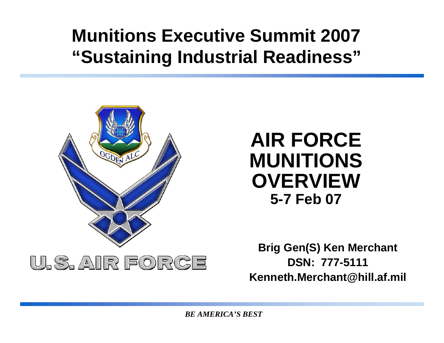#### **Munitions Executive Summit 2007 "Sustaining Industrial Readiness"**



#### **AIR FORCE MUNITIONS OVERVIEW5-7 Feb 07**

**Brig Gen(S) Ken Merchant DSN: 777-5111Kenneth.Merchant@hill.af.mil**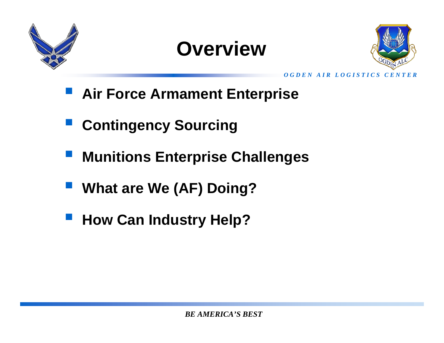

#### **Overview**



*O G D E N A I R L O G I S T I C S C E N T E R*

- **Air Force Armament Enterprise**
- **Contingency Sourcing**
- **Munitions Enterprise Challenges**
- **What are We (AF) Doing?**
- **How Can Industry Help?**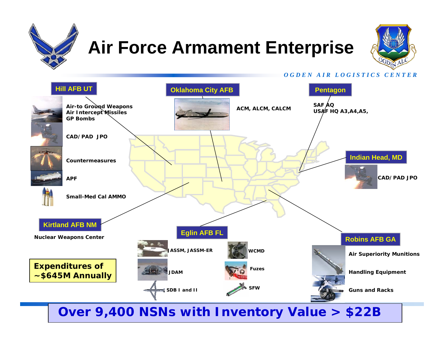

### **Air Force Armament Enterprise**



*O G D E N A I R L O G I S T I C S C E N T E R*

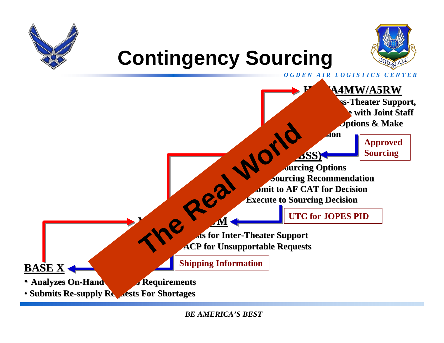



#### *O G D E N A I R L O G I S T I C S C E N T E R***Contingency Sourcing BASE X** • **Analyzes On-Hand Assets to Requirements** • **Submits Re Submits Re-supply Requests For Shortages supply Requests For Shortages ACP (505 CBSS) ACP (505 CBSS)** •*Deuters* **Options Make Sourcing Recommendation Make Sourcing Recommendation Submit to AF CAT for Decision Submit to AF CAT for Decision Execute to Sourcing Decision Execute to Sourcing Decision HAF/A4MW/A5RWFor Cross-Theater Support, Coordinate with Joint Staff Coordinate with Joint Staff***<u>Diptions & Make</u>* **Decision DecisionM Assess Requests for Inter Assess for Inter-Theater Support Theater Support ACP for Unsupportable Requests Approved Sourcing UTC for JOPES PIDShipping Information The Real World Sourcing Source Contract Contract Contract Contract Contract Contract Contract Contract Contract Contract Contract Contract Contract Contract Contract Contract Contract Contract Contract Contract Contract C**

*BE AMERICA'S BEST*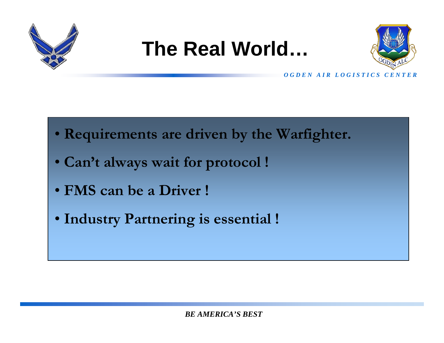

#### **The Real World…**



*O G D E N A I R L O G I S T I C S C E N T E R*

- **Requirements are driven by the Warfighter.**
- **Can't always wait for protocol !**
- **FMS can be a Driver !**
- **Industry Partnering is essential !**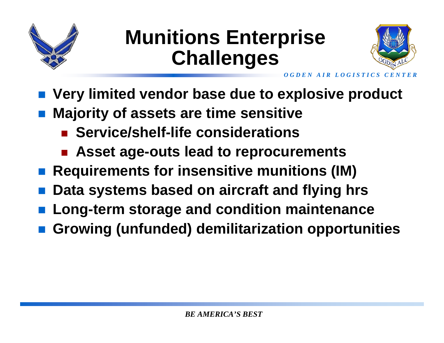

#### **Munitions Enterprise Challenges**



- **Very limited vendor base due to explosive product**
- **Majority of assets are time sensitive** 
	- $\overline{\phantom{a}}$ **Service/shelf-life considerations**
	- F. **Asset age-outs lead to reprocurements**
- $\mathbb{R}^3$ **Requirements for insensitive munitions (IM)**
- **Data systems based on aircraft and flying hrs**
- **Long-term storage and condition maintenance**
- **Growing (unfunded) demilitarization opportunities**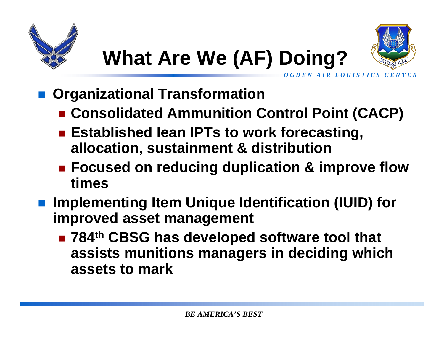

*O G D E N A I R L O G I S T I C S C E N T E R*

# **What Are We (AF) Doing?**

- **Organizational Transformation**
	- Consolidated Ammunition Control Point (CACP)
	- Established lean IPTs to work forecasting, **allocation, sustainment & distribution**
	- Focused on reducing duplication & improve flow **times**
- Implementing Item Unique Identification (IUID) for **improved asset management**
	- 784<sup>th</sup> CBSG has developed software tool that **assists munitions managers in deciding which assets to mark**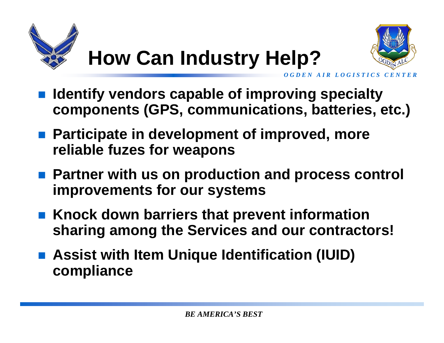

## **How Can Industry Help?**



*AIR LOGISTICS* 

- **Identify vendors capable of improving specialty components (GPS, communications, batteries, etc.)**
- Participate in development of improved, more **reliable fuzes for weapons**
- Partner with us on production and process control **improvements for our systems**
- Knock down barriers that prevent information **sharing among the Services and our contractors!**
- Assist with Item Unique Identification (IUID) **compliance**